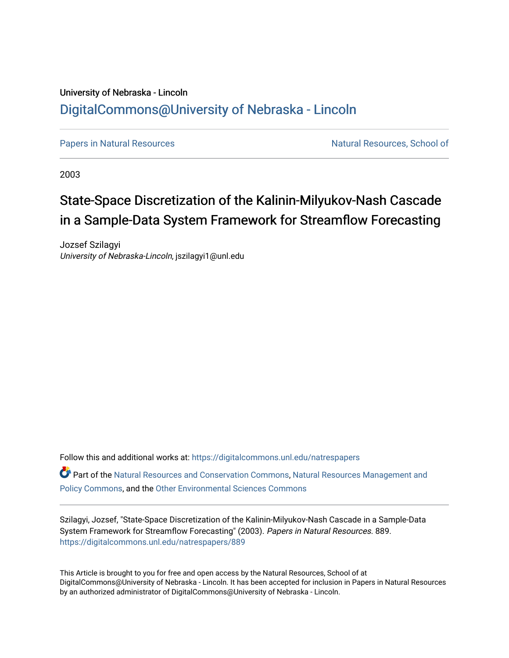# University of Nebraska - Lincoln [DigitalCommons@University of Nebraska - Lincoln](https://digitalcommons.unl.edu/)

[Papers in Natural Resources](https://digitalcommons.unl.edu/natrespapers) Natural Resources Natural Resources, School of

2003

# State-Space Discretization of the Kalinin-Milyukov-Nash Cascade in a Sample-Data System Framework for Streamflow Forecasting

Jozsef Szilagyi University of Nebraska-Lincoln, jszilagyi1@unl.edu

Follow this and additional works at: [https://digitalcommons.unl.edu/natrespapers](https://digitalcommons.unl.edu/natrespapers?utm_source=digitalcommons.unl.edu%2Fnatrespapers%2F889&utm_medium=PDF&utm_campaign=PDFCoverPages)

Part of the [Natural Resources and Conservation Commons,](http://network.bepress.com/hgg/discipline/168?utm_source=digitalcommons.unl.edu%2Fnatrespapers%2F889&utm_medium=PDF&utm_campaign=PDFCoverPages) [Natural Resources Management and](http://network.bepress.com/hgg/discipline/170?utm_source=digitalcommons.unl.edu%2Fnatrespapers%2F889&utm_medium=PDF&utm_campaign=PDFCoverPages) [Policy Commons](http://network.bepress.com/hgg/discipline/170?utm_source=digitalcommons.unl.edu%2Fnatrespapers%2F889&utm_medium=PDF&utm_campaign=PDFCoverPages), and the [Other Environmental Sciences Commons](http://network.bepress.com/hgg/discipline/173?utm_source=digitalcommons.unl.edu%2Fnatrespapers%2F889&utm_medium=PDF&utm_campaign=PDFCoverPages)

Szilagyi, Jozsef, "State-Space Discretization of the Kalinin-Milyukov-Nash Cascade in a Sample-Data System Framework for Streamflow Forecasting" (2003). Papers in Natural Resources. 889. [https://digitalcommons.unl.edu/natrespapers/889](https://digitalcommons.unl.edu/natrespapers/889?utm_source=digitalcommons.unl.edu%2Fnatrespapers%2F889&utm_medium=PDF&utm_campaign=PDFCoverPages)

This Article is brought to you for free and open access by the Natural Resources, School of at DigitalCommons@University of Nebraska - Lincoln. It has been accepted for inclusion in Papers in Natural Resources by an authorized administrator of DigitalCommons@University of Nebraska - Lincoln.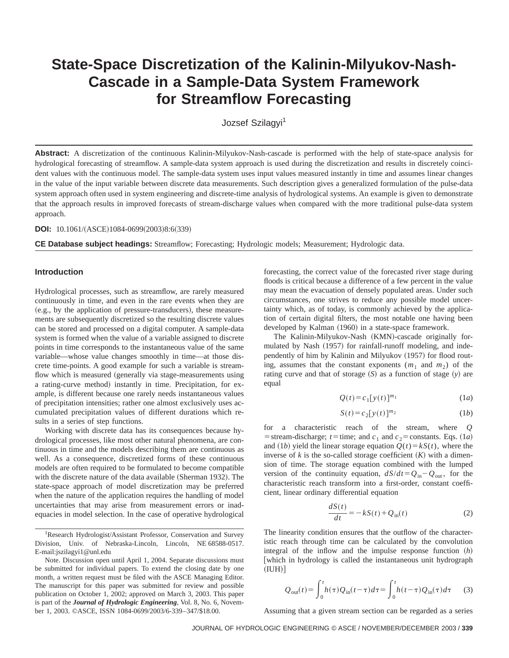# **State-Space Discretization of the Kalinin-Milyukov-Nash-Cascade in a Sample-Data System Framework for Streamflow Forecasting**

Jozsef Szilagyi<sup>1</sup>

**Abstract:** A discretization of the continuous Kalinin-Milyukov-Nash-cascade is performed with the help of state-space analysis for hydrological forecasting of streamflow. A sample-data system approach is used during the discretization and results in discretely coincident values with the continuous model. The sample-data system uses input values measured instantly in time and assumes linear changes in the value of the input variable between discrete data measurements. Such description gives a generalized formulation of the pulse-data system approach often used in system engineering and discrete-time analysis of hydrological systems. An example is given to demonstrate that the approach results in improved forecasts of stream-discharge values when compared with the more traditional pulse-data system approach.

### **DOI:** 10.1061/(ASCE)1084-0699(2003)8:6(339)

**CE Database subject headings:** Streamflow; Forecasting; Hydrologic models; Measurement; Hydrologic data.

#### **Introduction**

Hydrological processes, such as streamflow, are rarely measured continuously in time, and even in the rare events when they are (e.g., by the application of pressure-transducers), these measurements are subsequently discretized so the resulting discrete values can be stored and processed on a digital computer. A sample-data system is formed when the value of a variable assigned to discrete points in time corresponds to the instantaneous value of the same variable—whose value changes smoothly in time—at those discrete time-points. A good example for such a variable is streamflow which is measured (generally via stage-measurements using a rating-curve method) instantly in time. Precipitation, for example, is different because one rarely needs instantaneous values of precipitation intensities; rather one almost exclusively uses accumulated precipitation values of different durations which results in a series of step functions.

Working with discrete data has its consequences because hydrological processes, like most other natural phenomena, are continuous in time and the models describing them are continuous as well. As a consequence, discretized forms of these continuous models are often required to be formulated to become compatible with the discrete nature of the data available (Sherman 1932). The state-space approach of model discretization may be preferred when the nature of the application requires the handling of model uncertainties that may arise from measurement errors or inadequacies in model selection. In the case of operative hydrological

<sup>1</sup>Research Hydrologist/Assistant Professor, Conservation and Survey Division, Univ. of Nebraska-Lincoln, Lincoln, NE 68588-0517. E-mail:jszilagyi1@unl.edu

Note. Discussion open until April 1, 2004. Separate discussions must be submitted for individual papers. To extend the closing date by one month, a written request must be filed with the ASCE Managing Editor. The manuscript for this paper was submitted for review and possible publication on October 1, 2002; approved on March 3, 2003. This paper is part of the *Journal of Hydrologic Engineering*, Vol. 8, No. 6, November 1, 2003. ©ASCE, ISSN 1084-0699/2003/6-339–347/\$18.00.

forecasting, the correct value of the forecasted river stage during floods is critical because a difference of a few percent in the value may mean the evacuation of densely populated areas. Under such circumstances, one strives to reduce any possible model uncertainty which, as of today, is commonly achieved by the application of certain digital filters, the most notable one having been developed by Kalman (1960) in a state-space framework.

The Kalinin-Milyukov-Nash (KMN)-cascade originally formulated by Nash (1957) for rainfall-runoff modeling, and independently of him by Kalinin and Milyukov (1957) for flood routing, assumes that the constant exponents  $(m_1 \text{ and } m_2)$  of the rating curve and that of storage  $(S)$  as a function of stage  $(y)$  are equal

$$
Q(t) = c_1 [y(t)]^{m_1} \tag{1a}
$$

$$
S(t) = c_2 [y(t)]^{m_2} \tag{1b}
$$

for a characteristic reach of the stream, where *Q* = stream-discharge; *t*=time; and  $c_1$  and  $c_2$ = constants. Eqs. (1*a*) and (1*b*) yield the linear storage equation  $Q(t) = kS(t)$ , where the inverse of  $k$  is the so-called storage coefficient  $(K)$  with a dimension of time. The storage equation combined with the lumped version of the continuity equation,  $dS/dt = Q_{in} - Q_{out}$ , for the characteristic reach transform into a first-order, constant coefficient, linear ordinary differential equation

$$
\frac{dS(t)}{dt} = -kS(t) + Q_{\text{in}}(t)
$$
\n(2)

The linearity condition ensures that the outflow of the characteristic reach through time can be calculated by the convolution integral of the inflow and the impulse response function  $(h)$ [which in hydrology is called the instantaneous unit hydrograph  $(IUH)]$ 

$$
Q_{\text{out}}(t) = \int_0^t h(\tau) Q_{\text{in}}(t-\tau) d\tau = \int_0^t h(t-\tau) Q_{\text{in}}(\tau) d\tau \tag{3}
$$

Assuming that a given stream section can be regarded as a series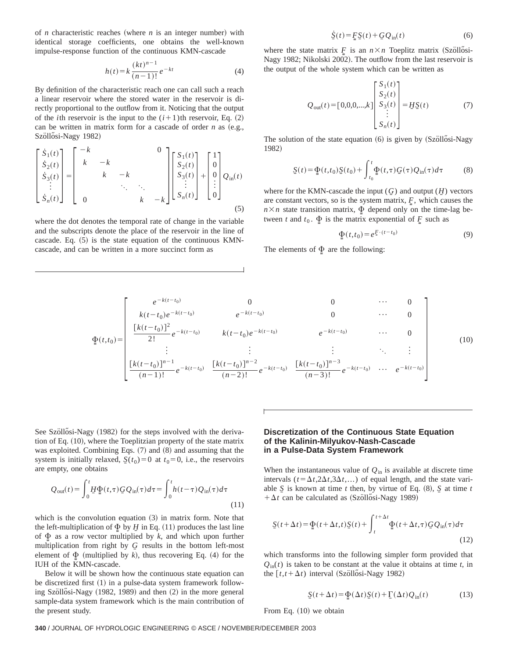of *n* characteristic reaches (where *n* is an integer number) with identical storage coefficients, one obtains the well-known impulse-response function of the continuous KMN-cascade

$$
h(t) = k \frac{(kt)^{n-1}}{(n-1)!} e^{-kt}
$$
 (4)

By definition of the characteristic reach one can call such a reach a linear reservoir where the stored water in the reservoir is directly proportional to the outflow from it. Noticing that the output of the *i*th reservoir is the input to the  $(i+1)$ th reservoir, Eq.  $(2)$ can be written in matrix form for a cascade of order  $n$  as  $(e.g.,)$ Szöllősi-Nagy 1982)

$$
\begin{bmatrix} \dot{S}_1(t) \\ \dot{S}_2(t) \\ \dot{S}_3(t) \\ \vdots \\ \dot{S}_n(t) \end{bmatrix} = \begin{bmatrix} -k & & & 0 \\ k & -k & & \\ & k & -k & \\ & & \ddots & \ddots \\ & & & k & -k \end{bmatrix} \begin{bmatrix} S_1(t) \\ S_2(t) \\ S_3(t) \\ \vdots \\ S_n(t) \end{bmatrix} + \begin{bmatrix} 1 \\ 0 \\ 0 \\ \vdots \\ 0 \end{bmatrix} Q_{\text{in}}(t)
$$
\n(5)

where the dot denotes the temporal rate of change in the variable and the subscripts denote the place of the reservoir in the line of cascade. Eq.  $(5)$  is the state equation of the continuous KMNcascade, and can be written in a more succinct form as

$$
\dot{\underline{S}}(t) = \underline{F}\,\underline{S}(t) + \underline{G}\,Q_{\text{in}}(t) \tag{6}
$$

where the state matrix  $F$  is an  $n \times n$  Toeplitz matrix (Szöllősi-Nagy 1982; Nikolski 2002). The outflow from the last reservoir is the output of the whole system which can be written as

$$
Q_{\text{out}}(t) = [0,0,0,...,k] \begin{bmatrix} S_1(t) \\ S_2(t) \\ S_3(t) \\ \vdots \\ S_n(t) \end{bmatrix} = H\Sigma(t) \tag{7}
$$

The solution of the state equation (6) is given by (Szöllősi-Nagy 1982)

$$
\underline{S}(t) = \underline{\Phi}(t, t_0) \underline{S}(t_0) + \int_{t_0}^t \underline{\Phi}(t, \tau) \underline{G}(\tau) \underline{Q}_{\text{in}}(\tau) d\tau \tag{8}
$$

where for the KMN-cascade the input  $(G)$  and output  $(H)$  vectors are constant vectors, so is the system matrix,  $\mathbf{F}_1$ , which causes the  $n \times n$  state transition matrix,  $\Phi$  depend only on the time-lag between *t* and  $t_0$ .  $\Phi$  is the matrix exponential of  $\Phi$  such as

$$
\underline{\Phi}(t,t_0) = e^{\underline{F} \cdot (t-t_0)}\tag{9}
$$

The elements of  $\Phi$  are the following:

$$
\Phi(t,t_0) = \begin{bmatrix}\ne^{-k(t-t_0)} & 0 & 0 & \cdots & 0 \\
k(t-t_0)e^{-k(t-t_0)} & e^{-k(t-t_0)} & 0 & \cdots & 0 \\
\frac{[k(t-t_0)]^2}{2!}e^{-k(t-t_0)} & k(t-t_0)e^{-k(t-t_0)} & e^{-k(t-t_0)} & \cdots & 0 \\
\vdots & \vdots & \vdots & \ddots & \vdots \\
\frac{[k(t-t_0)]^{n-1}}{(n-1)!}e^{-k(t-t_0)} & \frac{[k(t-t_0)]^{n-2}}{(n-2)!}e^{-k(t-t_0)} & \frac{[k(t-t_0)]^{n-3}}{(n-3)!}e^{-k(t-t_0)} & \cdots & e^{-k(t-t_0)}\n\end{bmatrix}
$$
\n(10)

See Szöllősi-Nagy (1982) for the steps involved with the derivation of Eq.  $(10)$ , where the Toeplitzian property of the state matrix was exploited. Combining Eqs.  $(7)$  and  $(8)$  and assuming that the system is initially relaxed,  $S(t_0)=0$  at  $t_0=0$ , i.e., the reservoirs are empty, one obtains

$$
Q_{\text{out}}(t) = \int_0^t \underline{H} \Phi(t, \tau) \underline{G} Q_{\text{in}}(\tau) d\tau = \int_0^t h(t - \tau) Q_{\text{in}}(\tau) d\tau
$$
\n(11)

which is the convolution equation  $(3)$  in matrix form. Note that the left-multiplication of  $\Phi$  by *H* in Eq. (11) produces the last line of  $\Phi$  as a row vector multiplied by *k*, and which upon further multiplication from right by *G* results in the bottom left-most element of  $\Phi$  (multiplied by *k*), thus recovering Eq. (4) for the IUH of the KMN-cascade.

Below it will be shown how the continuous state equation can be discretized first  $(1)$  in a pulse-data system framework following Szöllősi-Nagy (1982, 1989) and then (2) in the more general sample-data system framework which is the main contribution of the present study.

### **Discretization of the Continuous State Equation of the Kalinin-Milyukov-Nash-Cascade in a Pulse-Data System Framework**

When the instantaneous value of  $Q_{\text{in}}$  is available at discrete time intervals ( $t = \Delta t$ ,2 $\Delta t$ ,3 $\Delta t$ ,...) of equal length, and the state variable  $\overline{S}$  is known at time *t* then, by virtue of Eq.  $(8)$ ,  $\overline{S}$  at time *t*  $+\Delta t$  can be calculated as (Szöllősi-Nagy 1989)

$$
\underline{S}(t+\Delta t) = \underline{\Phi}(t+\Delta t, t)\underline{S}(t) + \int_{t}^{t+\Delta t} \underline{\Phi}(t+\Delta t, \tau)\underline{G}\underline{Q}_{\text{in}}(\tau)d\tau
$$
\n(12)

which transforms into the following simpler form provided that  $Q_{\text{in}}(t)$  is taken to be constant at the value it obtains at time *t*, in the  $[t, t + \Delta t)$  interval (Szöllősi-Nagy 1982)

$$
\underline{S}(t + \Delta t) = \underline{\Phi}(\Delta t)\underline{S}(t) + \underline{\Gamma}(\Delta t)\underline{Q}_{\text{in}}(t)
$$
\n(13)

From Eq.  $(10)$  we obtain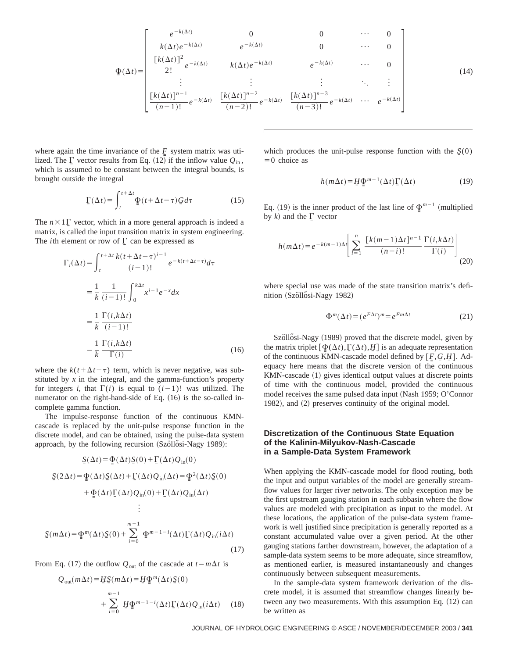$$
\Phi(\Delta t) = \begin{bmatrix}\ne^{-k(\Delta t)} & 0 & 0 & \cdots & 0 \\
k(\Delta t)e^{-k(\Delta t)} & e^{-k(\Delta t)} & 0 & \cdots & 0 \\
\frac{[k(\Delta t)]^2}{2!}e^{-k(\Delta t)} & k(\Delta t)e^{-k(\Delta t)} & e^{-k(\Delta t)} & \cdots & 0 \\
\vdots & \vdots & \vdots & \ddots & \vdots \\
\frac{[k(\Delta t)]^{n-1}}{(n-1)!}e^{-k(\Delta t)} & \frac{[k(\Delta t)]^{n-2}}{(n-2)!}e^{-k(\Delta t)} & \frac{[k(\Delta t)]^{n-3}}{(n-3)!}e^{-k(\Delta t)} & \cdots & e^{-k(\Delta t)}\n\end{bmatrix}
$$
\n(14)

where again the time invariance of the  $F$  system matrix was utilized. The  $\Gamma$  vector results from Eq. (12) if the inflow value  $Q_{\text{in}}$ , which is assumed to be constant between the integral bounds, is brought outside the integral

$$
\underline{\Gamma}(\Delta t) = \int_{t}^{t + \Delta t} \underline{\Phi}(t + \Delta t - \tau) \underline{G} d\tau
$$
 (15)

The  $n \times 1$ <sub>C</sub> vector, which in a more general approach is indeed a matrix, is called the input transition matrix in system engineering. The *i*th element or row of  $\Gamma$  can be expressed as

$$
\Gamma_i(\Delta t) = \int_{t}^{t + \Delta t} \frac{k(t + \Delta t - \tau)^{i-1}}{(i-1)!} e^{-k(t + \Delta t - \tau)} d\tau
$$

$$
= \frac{1}{k} \frac{1}{(i-1)!} \int_{0}^{k\Delta t} x^{i-1} e^{-x} dx
$$

$$
= \frac{1}{k} \frac{\Gamma(i, k\Delta t)}{(i-1)!}
$$

$$
= \frac{1}{k} \frac{\Gamma(i, k\Delta t)}{\Gamma(i)}
$$
(16)

where the  $k(t+\Delta t-\tau)$  term, which is never negative, was substituted by  $x$  in the integral, and the gamma-function's property for integers *i*, that  $\Gamma(i)$  is equal to  $(i-1)!$  was utilized. The numerator on the right-hand-side of Eq.  $(16)$  is the so-called incomplete gamma function.

The impulse-response function of the continuous KMNcascade is replaced by the unit-pulse response function in the discrete model, and can be obtained, using the pulse-data system approach, by the following recursion  $(Sz\ddot{o}ll\ddot{o}si-Nagy 1989)$ :

$$
S(\Delta t) = \Phi(\Delta t)S(0) + \Gamma(\Delta t)Q_{\text{in}}(0)
$$
  
\n
$$
S(2\Delta t) = \Phi(\Delta t)S(\Delta t) + \Gamma(\Delta t)Q_{\text{in}}(\Delta t) = \Phi^{2}(\Delta t)S(0)
$$
  
\n
$$
+ \Phi(\Delta t)\Gamma(\Delta t)Q_{\text{in}}(0) + \Gamma(\Delta t)Q_{\text{in}}(\Delta t)
$$
  
\n
$$
\vdots
$$
  
\n
$$
S(m\Delta t) = \Phi^{m}(\Delta t)S(0) + \sum_{i=0}^{m-1} \Phi^{m-1-i}(\Delta t)\Gamma(\Delta t)Q_{\text{in}}(i\Delta t)
$$
\n(17)

From Eq. (17) the outflow  $Q_{\text{out}}$  of the cascade at  $t = m\Delta t$  is

$$
Q_{\text{out}}(m\Delta t) = \underline{H}\underline{S}(m\Delta t) = \underline{H}\underline{\Phi}^{m}(\Delta t)\underline{S}(0)
$$
  
+ 
$$
\sum_{i=0}^{m-1} \underline{H}\underline{\Phi}^{m-1-i}(\Delta t)\underline{\Gamma}(\Delta t)Q_{\text{in}}(i\Delta t) \qquad (18)
$$

which produces the unit-pulse response function with the  $S(0)$  $=0$  choice as

$$
h(m\Delta t) = \underline{H} \underline{\Phi}^{m-1}(\Delta t) \Gamma(\Delta t)
$$
 (19)

Eq. (19) is the inner product of the last line of  $\Phi^{m-1}$  (multiplied by  $k$ ) and the  $\Gamma$  vector

$$
h(m\Delta t) = e^{-k(m-1)\Delta t} \left[ \sum_{i=1}^{n} \frac{\left[ k(m-1)\Delta t \right]^{n-1}}{(n-i)!} \frac{\Gamma(i,k\Delta t)}{\Gamma(i)} \right]
$$
(20)

where special use was made of the state transition matrix's definition (Szöllősi-Nagy 1982)

$$
\Phi^m(\Delta t) = (e^{F\Delta t})^m = e^{Fm\Delta t} \tag{21}
$$

Szöllősi-Nagy (1989) proved that the discrete model, given by the matrix triplet  $[\Phi(\Delta t), \Gamma(\Delta t), H]$  is an adequate representation of the continuous KMN-cascade model defined by  $[F, G, H]$ . Adequacy here means that the discrete version of the continuous KMN-cascade (1) gives identical output values at discrete points of time with the continuous model, provided the continuous model receives the same pulsed data input (Nash 1959; O'Connor 1982), and (2) preserves continuity of the original model.

## **Discretization of the Continuous State Equation of the Kalinin-Milyukov-Nash-Cascade in a Sample-Data System Framework**

When applying the KMN-cascade model for flood routing, both the input and output variables of the model are generally streamflow values for larger river networks. The only exception may be the first upstream gauging station in each subbasin where the flow values are modeled with precipitation as input to the model. At these locations, the application of the pulse-data system framework is well justified since precipitation is generally reported as a constant accumulated value over a given period. At the other gauging stations farther downstream, however, the adaptation of a sample-data system seems to be more adequate, since streamflow, as mentioned earlier, is measured instantaneously and changes continuously between subsequent measurements.

In the sample-data system framework derivation of the discrete model, it is assumed that streamflow changes linearly between any two measurements. With this assumption Eq.  $(12)$  can be written as

JOURNAL OF HYDROLOGIC ENGINEERING © ASCE / NOVEMBER/DECEMBER 2003 / **341**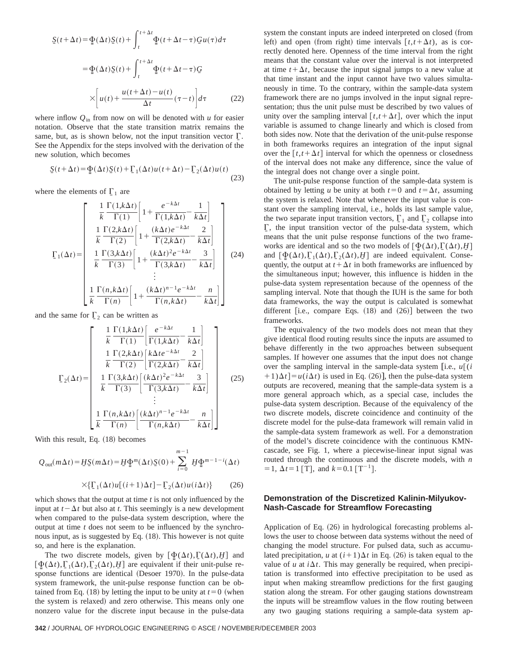$$
\underline{S}(t + \Delta t) = \underline{\Phi}(\Delta t) \underline{S}(t) + \int_{t}^{t + \Delta t} \underline{\Phi}(t + \Delta t - \tau) \underline{G} u(\tau) d\tau
$$

$$
= \underline{\Phi}(\Delta t) \underline{S}(t) + \int_{t}^{t + \Delta t} \underline{\Phi}(t + \Delta t - \tau) \underline{G}
$$

$$
\times \left[ u(t) + \frac{u(t + \Delta t) - u(t)}{\Delta t} (\tau - t) \right] d\tau \tag{22}
$$

where inflow  $Q_{\text{in}}$  from now on will be denoted with *u* for easier notation. Observe that the state transition matrix remains the same, but, as is shown below, not the input transition vector  $\Gamma$ . See the Appendix for the steps involved with the derivation of the new solution, which becomes

$$
\underline{S}(t+\Delta t) = \underline{\Phi}(\Delta t)\underline{S}(t) + \underline{\Gamma}_1(\Delta t)u(t+\Delta t) - \underline{\Gamma}_2(\Delta t)u(t)
$$
\n(23)

where the elements of  $\Gamma_1$  are

$$
\Gamma_1(\Delta t) = \begin{bmatrix}\n\frac{1}{k} \frac{\Gamma(1,k\Delta t)}{\Gamma(1)} \left[ 1 + \frac{e^{-k\Delta t}}{\Gamma(1,k\Delta t)} - \frac{1}{k\Delta t} \right] \\
\frac{1}{k} \frac{\Gamma(2,k\Delta t)}{\Gamma(2)} \left[ 1 + \frac{(k\Delta t)e^{-k\Delta t}}{\Gamma(2,k\Delta t)} - \frac{2}{k\Delta t} \right] \\
\frac{1}{k} \frac{\Gamma(3,k\Delta t)}{\Gamma(3)} \left[ 1 + \frac{(k\Delta t)^2 e^{-k\Delta t}}{\Gamma(3,k\Delta t)} - \frac{3}{k\Delta t} \right] \\
\vdots \\
\frac{1}{k} \frac{\Gamma(n,k\Delta t)}{\Gamma(n)} \left[ 1 + \frac{(k\Delta t)^{n-1}e^{-k\Delta t}}{\Gamma(n,k\Delta t)} - \frac{n}{k\Delta t} \right]\n\end{bmatrix}
$$
(24)

and the same for  $\Gamma_2$  can be written as

$$
\Gamma_{2}(\Delta t) = \begin{bmatrix}\n\frac{1}{k} \frac{\Gamma(1,k\Delta t)}{\Gamma(1)} \left[ \frac{e^{-k\Delta t}}{\Gamma(1,k\Delta t)} - \frac{1}{k\Delta t} \right] \\
\frac{1}{k} \frac{\Gamma(2,k\Delta t)}{\Gamma(2)} \left[ \frac{k\Delta t e^{-k\Delta t}}{\Gamma(2,k\Delta t)} - \frac{2}{k\Delta t} \right] \\
\frac{1}{k} \frac{\Gamma(3,k\Delta t)}{\Gamma(3)} \left[ \frac{(k\Delta t)^{2}e^{-k\Delta t}}{\Gamma(3,k\Delta t)} - \frac{3}{k\Delta t} \right] \\
\vdots \\
\frac{1}{k} \frac{\Gamma(n,k\Delta t)}{\Gamma(n)} \left[ \frac{(k\Delta t)^{n-1}e^{-k\Delta t}}{\Gamma(n,k\Delta t)} - \frac{n}{k\Delta t} \right]\n\end{bmatrix}
$$
\n(25)

With this result, Eq. (18) becomes

$$
Q_{\text{out}}(m\Delta t) = H\underline{S}(m\Delta t) = H\underline{\Phi}^{m}(\Delta t)\underline{S}(0) + \sum_{i=0}^{m-1} H\underline{\Phi}^{m-1-i}(\Delta t)
$$

$$
\times \{\underline{\Gamma}_{1}(\Delta t)u[(i+1)\Delta t] - \underline{\Gamma}_{2}(\Delta t)u(i\Delta t)\} \tag{26}
$$

which shows that the output at time *t* is not only influenced by the input at  $t - \Delta t$  but also at *t*. This seemingly is a new development when compared to the pulse-data system description, where the output at time *t* does not seem to be influenced by the synchronous input, as is suggested by Eq.  $(18)$ . This however is not quite so, and here is the explanation.

The two discrete models, given by  $[\Phi(\Delta t), \Gamma(\Delta t), H]$  and  $[\Phi(\Delta t), \Gamma_1(\Delta t), \Gamma_2(\Delta t), H]$  are equivalent if their unit-pulse response functions are identical (Desoer 1970). In the pulse-data system framework, the unit-pulse response function can be obtained from Eq. (18) by letting the input to be unity at  $t=0$  (when the system is relaxed) and zero otherwise. This means only one nonzero value for the discrete input because in the pulse-data

system the constant inputs are indeed interpreted on closed (from left) and open (from right) time intervals  $[t, t + \Delta t)$ , as is correctly denoted here. Openness of the time interval from the right means that the constant value over the interval is not interpreted at time  $t + \Delta t$ , because the input signal jumps to a new value at that time instant and the input cannot have two values simultaneously in time. To the contrary, within the sample-data system framework there are no jumps involved in the input signal representation; thus the unit pulse must be described by two values of unity over the sampling interval  $[t, t + \Delta t]$ , over which the input variable is assumed to change linearly and which is closed from both sides now. Note that the derivation of the unit-pulse response in both frameworks requires an integration of the input signal over the  $[t, t + \Delta t]$  interval for which the openness or closedness of the interval does not make any difference, since the value of the integral does not change over a single point.

The unit-pulse response function of the sample-data system is obtained by letting *u* be unity at both  $t=0$  and  $t=\Delta t$ , assuming the system is relaxed. Note that whenever the input value is constant over the sampling interval, i.e., holds its last sample value, the two separate input transition vectors,  $\Gamma_1$  and  $\Gamma_2$  collapse into  $\Gamma$ , the input transition vector of the pulse-data system, which means that the unit pulse response functions of the two frameworks are identical and so the two models of  $[\Phi(\Delta t), \Gamma(\Delta t), H]$ and  $[\Phi(\Delta t), \Gamma_1(\Delta t), \Gamma_2(\Delta t), H]$  are indeed equivalent. Consequently, the output at  $t + \Delta t$  in both frameworks are influenced by the simultaneous input; however, this influence is hidden in the pulse-data system representation because of the openness of the sampling interval. Note that though the IUH is the same for both data frameworks, the way the output is calculated is somewhat different [i.e., compare Eqs.  $(18)$  and  $(26)$ ] between the two frameworks.

The equivalency of the two models does not mean that they give identical flood routing results since the inputs are assumed to behave differently in the two approaches between subsequent samples. If however one assumes that the input does not change over the sampling interval in the sample-data system [i.e.,  $u \cdot (i)$  $(1+1)\Delta t$  =  $u(i\Delta t)$  is used in Eq. (26)], then the pulse-data system outputs are recovered, meaning that the sample-data system is a more general approach which, as a special case, includes the pulse-data system description. Because of the equivalency of the two discrete models, discrete coincidence and continuity of the discrete model for the pulse-data framework will remain valid in the sample-data system framework as well. For a demonstration of the model's discrete coincidence with the continuous KMNcascade, see Fig. 1, where a piecewise-linear input signal was routed through the continuous and the discrete models, with *n*  $= 1, \Delta t = 1$  [T], and  $k = 0.1$  [T<sup>-1</sup>].

# **Demonstration of the Discretized Kalinin-Milyukov-Nash-Cascade for Streamflow Forecasting**

Application of Eq.  $(26)$  in hydrological forecasting problems allows the user to choose between data systems without the need of changing the model structure. For pulsed data, such as accumulated precipitation, *u* at  $(i+1)\Delta t$  in Eq. (26) is taken equal to the value of  $u$  at  $i\Delta t$ . This may generally be required, when precipitation is transformed into effective precipitation to be used as input when making streamflow predictions for the first gauging station along the stream. For other gauging stations downstream the inputs will be streamflow values in the flow routing between any two gauging stations requiring a sample-data system ap-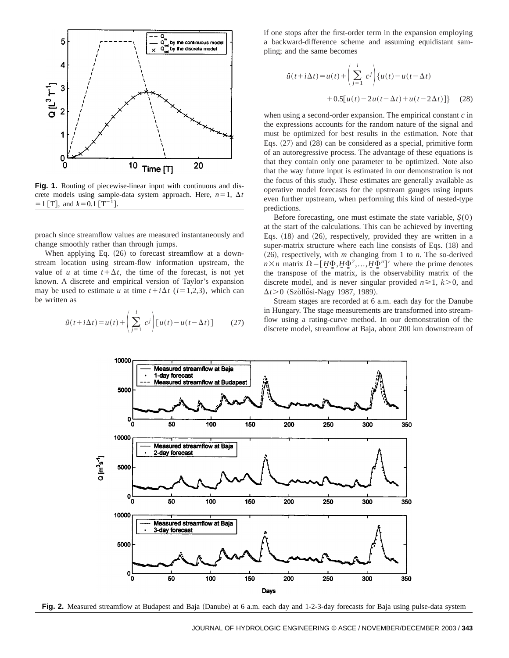

**Fig. 1.** Routing of piecewise-linear input with continuous and discrete models using sample-data system approach. Here,  $n=1$ ,  $\Delta t$  $=1$  [T], and  $k=0.1$  [T<sup>-1</sup>].

proach since streamflow values are measured instantaneously and change smoothly rather than through jumps.

When applying Eq.  $(26)$  to forecast streamflow at a downstream location using stream-flow information upstream, the value of *u* at time  $t + \Delta t$ , the time of the forecast, is not yet known. A discrete and empirical version of Taylor's expansion may be used to estimate *u* at time  $t + i\Delta t$  ( $i = 1,2,3$ ), which can be written as

$$
\hat{u}(t+i\Delta t) = u(t) + \left(\sum_{j=1}^{i} c^{j}\right) [u(t) - u(t-\Delta t)] \tag{27}
$$

if one stops after the first-order term in the expansion employing a backward-difference scheme and assuming equidistant sampling; and the same becomes

$$
\hat{u}(t+i\Delta t) = u(t) + \left(\sum_{j=1}^{i} c^{j}\right) \{u(t) - u(t-\Delta t) + 0.5[u(t) - 2u(t-\Delta t) + u(t-2\Delta t)]\}
$$
 (28)

when using a second-order expansion. The empirical constant *c* in the expressions accounts for the random nature of the signal and must be optimized for best results in the estimation. Note that Eqs.  $(27)$  and  $(28)$  can be considered as a special, primitive form of an autoregressive process. The advantage of these equations is that they contain only one parameter to be optimized. Note also that the way future input is estimated in our demonstration is not the focus of this study. These estimates are generally available as operative model forecasts for the upstream gauges using inputs even further upstream, when performing this kind of nested-type predictions.

Before forecasting, one must estimate the state variable,  $S(0)$ at the start of the calculations. This can be achieved by inverting Eqs.  $(18)$  and  $(26)$ , respectively, provided they are written in a super-matrix structure where each line consists of Eqs.  $(18)$  and  $(26)$ , respectively, with *m* changing from 1 to *n*. The so-derived  $n \times n$  matrix  $\Omega = [H\Phi, H\Phi^2, \dots, H\Phi^n]'$  where the prime denotes the transpose of the matrix, is the observability matrix of the discrete model, and is never singular provided  $n \ge 1$ ,  $k > 0$ , and  $\Delta t$  > 0 (Szöllősi-Nagy 1987, 1989).

Stream stages are recorded at 6 a.m. each day for the Danube in Hungary. The stage measurements are transformed into streamflow using a rating-curve method. In our demonstration of the discrete model, streamflow at Baja, about 200 km downstream of



Fig. 2. Measured streamflow at Budapest and Baja (Danube) at 6 a.m. each day and 1-2-3-day forecasts for Baja using pulse-data system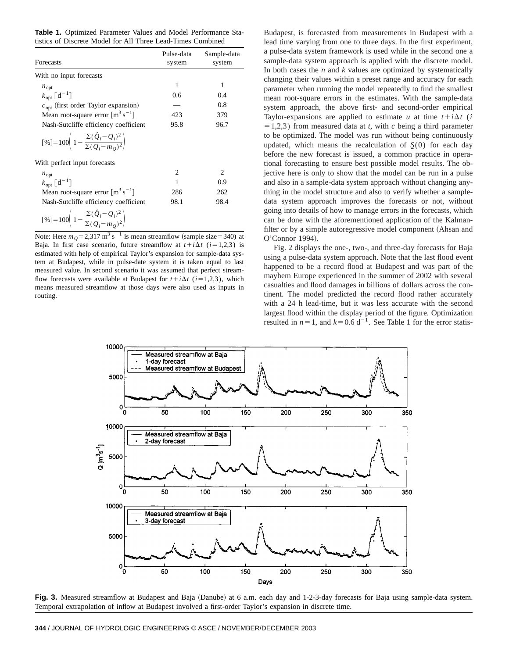**Table 1.** Optimized Parameter Values and Model Performance Statistics of Discrete Model for All Three Lead-Times Combined

| Forecasts                                                                              | Pulse-data<br>system | Sample-data<br>system |
|----------------------------------------------------------------------------------------|----------------------|-----------------------|
|                                                                                        |                      |                       |
| $n_{\text{opt}}$                                                                       | 1                    | 1                     |
| $k_{\text{opt}}$ [d <sup>-1</sup> ]                                                    | 0.6                  | 0.4                   |
| $copt$ (first order Taylor expansion)                                                  |                      | 0.8                   |
| Mean root-square error $\lceil m^3 s^{-1} \rceil$                                      | 423                  | 379                   |
| Nash-Sutcliffe efficiency coefficient                                                  | 95.8                 | 96.7                  |
| $[%] = 100\left(1 - \frac{\Sigma(\hat{Q}_i - Q_i)^2}{\Sigma(Q_i - m_0)^2}\right)$      |                      |                       |
| With perfect input forecasts                                                           |                      |                       |
| $n_{\text{opt}}$                                                                       | 2                    | 2                     |
| $k_{\text{opt}}$ [d <sup>-1</sup> ]                                                    | 1                    | 0.9                   |
| Mean root-square error $\lceil m^3 s^{-1} \rceil$                                      | 286                  | 262                   |
| Nash-Sutcliffe efficiency coefficient                                                  | 98.1                 | 98.4                  |
| $[\%]=100\left(1-\frac{\Sigma(\hat{Q}_i-\hat{Q}_i)^2}{\Sigma(\hat{Q}_i-m_0)^2}\right)$ |                      |                       |

Note: Here  $m_Q = 2.317 \text{ m}^3 \text{ s}^{-1}$  is mean streamflow (sample size=340) at Baja. In first case scenario, future streamflow at  $t + i\Delta t$  ( $i = 1,2,3$ ) is estimated with help of empirical Taylor's expansion for sample-data system at Budapest, while in pulse-date system it is taken equal to last measured value. In second scenario it was assumed that perfect streamflow forecasts were available at Budapest for  $t + i\Delta t$  ( $i = 1,2,3$ ), which means measured streamflow at those days were also used as inputs in routing.

Budapest, is forecasted from measurements in Budapest with a lead time varying from one to three days. In the first experiment, a pulse-data system framework is used while in the second one a sample-data system approach is applied with the discrete model. In both cases the  $n$  and  $k$  values are optimized by systematically changing their values within a preset range and accuracy for each parameter when running the model repeatedly to find the smallest mean root-square errors in the estimates. With the sample-data system approach, the above first- and second-order empirical Taylor-expansions are applied to estimate *u* at time  $t + i\Delta t$  (*i*  $=1,2,3$ ) from measured data at *t*, with *c* being a third parameter to be optimized. The model was run without being continuously updated, which means the recalculation of  $\zeta(0)$  for each day before the new forecast is issued, a common practice in operational forecasting to ensure best possible model results. The objective here is only to show that the model can be run in a pulse and also in a sample-data system approach without changing anything in the model structure and also to verify whether a sampledata system approach improves the forecasts or not, without going into details of how to manage errors in the forecasts, which can be done with the aforementioned application of the Kalmanfilter or by a simple autoregressive model component (Ahsan and O'Connor 1994).

Fig. 2 displays the one-, two-, and three-day forecasts for Baja using a pulse-data system approach. Note that the last flood event happened to be a record flood at Budapest and was part of the mayhem Europe experienced in the summer of 2002 with several casualties and flood damages in billions of dollars across the continent. The model predicted the record flood rather accurately with a 24 h lead-time, but it was less accurate with the second largest flood within the display period of the figure. Optimization resulted in  $n=1$ , and  $k=0.6$  d<sup>-1</sup>. See Table 1 for the error statis-



Fig. 3. Measured streamflow at Budapest and Baja (Danube) at 6 a.m. each day and 1-2-3-day forecasts for Baja using sample-data system. Temporal extrapolation of inflow at Budapest involved a first-order Taylor's expansion in discrete time.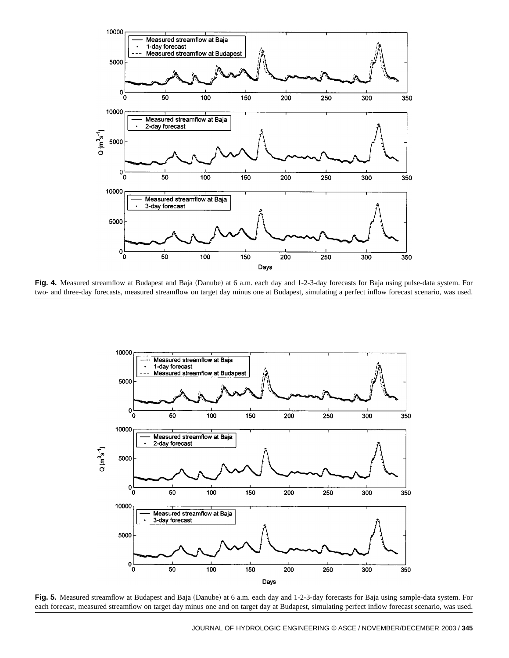

Fig. 4. Measured streamflow at Budapest and Baja (Danube) at 6 a.m. each day and 1-2-3-day forecasts for Baja using pulse-data system. For two- and three-day forecasts, measured streamflow on target day minus one at Budapest, simulating a perfect inflow forecast scenario, was used.



Fig. 5. Measured streamflow at Budapest and Baja (Danube) at 6 a.m. each day and 1-2-3-day forecasts for Baja using sample-data system. For each forecast, measured streamflow on target day minus one and on target day at Budapest, simulating perfect inflow forecast scenario, was used.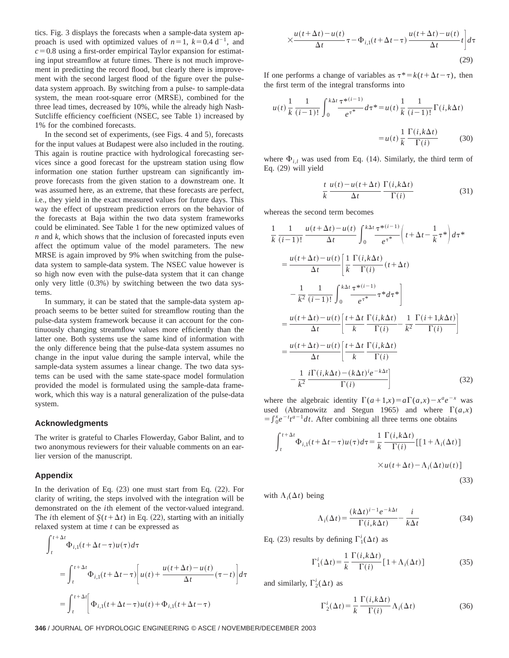tics. Fig. 3 displays the forecasts when a sample-data system approach is used with optimized values of  $n=1$ ,  $k=0.4$  d<sup>-1</sup>, and  $c=0.8$  using a first-order empirical Taylor expansion for estimating input streamflow at future times. There is not much improvement in predicting the record flood, but clearly there is improvement with the second largest flood of the figure over the pulsedata system approach. By switching from a pulse- to sample-data system, the mean root-square error (MRSE), combined for the three lead times, decreased by 10%, while the already high Nash-Sutcliffe efficiency coefficient (NSEC, see Table 1) increased by 1% for the combined forecasts.

In the second set of experiments, (see Figs. 4 and 5), forecasts for the input values at Budapest were also included in the routing. This again is routine practice with hydrological forecasting services since a good forecast for the upstream station using flow information one station further upstream can significantly improve forecasts from the given station to a downstream one. It was assumed here, as an extreme, that these forecasts are perfect, i.e., they yield in the exact measured values for future days. This way the effect of upstream prediction errors on the behavior of the forecasts at Baja within the two data system frameworks could be eliminated. See Table 1 for the new optimized values of *n* and *k*, which shows that the inclusion of forecasted inputs even affect the optimum value of the model parameters. The new MRSE is again improved by 9% when switching from the pulsedata system to sample-data system. The NSEC value however is so high now even with the pulse-data system that it can change only very little  $(0.3%)$  by switching between the two data systems.

In summary, it can be stated that the sample-data system approach seems to be better suited for streamflow routing than the pulse-data system framework because it can account for the continuously changing streamflow values more efficiently than the latter one. Both systems use the same kind of information with the only difference being that the pulse-data system assumes no change in the input value during the sample interval, while the sample-data system assumes a linear change. The two data systems can be used with the same state-space model formulation provided the model is formulated using the sample-data framework, which this way is a natural generalization of the pulse-data system.

#### **Acknowledgments**

The writer is grateful to Charles Flowerday, Gabor Balint, and to two anonymous reviewers for their valuable comments on an earlier version of the manuscript.

#### **Appendix**

In the derivation of Eq.  $(23)$  one must start from Eq.  $(22)$ . For clarity of writing, the steps involved with the integration will be demonstrated on the *i*th element of the vector-valued integrand. The *i*th element of  $S(t + \Delta t)$  in Eq. (22), starting with an initially relaxed system at time *t* can be expressed as

$$
\int_{t}^{t+\Delta t} \Phi_{i,1}(t+\Delta t-\tau)u(\tau)d\tau
$$
\n
$$
= \int_{t}^{t+\Delta t} \Phi_{i,1}(t+\Delta t-\tau) \left[ u(t) + \frac{u(t+\Delta t) - u(t)}{\Delta t}(\tau-t) \right] d\tau
$$
\n
$$
= \int_{t}^{t+\Delta t} \left[ \Phi_{i,1}(t+\Delta t-\tau)u(t) + \Phi_{i,1}(t+\Delta t-\tau) \right]
$$

$$
\times \frac{u(t+\Delta t) - u(t)}{\Delta t} \tau - \Phi_{i,1}(t+\Delta t - \tau) \frac{u(t+\Delta t) - u(t)}{\Delta t} t \bigg] d\tau
$$
\n(29)

If one performs a change of variables as  $\tau^* = k(t + \Delta t - \tau)$ , then the first term of the integral transforms into

$$
u(t)\frac{1}{k}\frac{1}{(i-1)!}\int_0^{k\Delta t}\frac{\tau^{*(i-1)}}{e^{\tau^*}}d\tau^* = u(t)\frac{1}{k}\frac{1}{(i-1)!}\Gamma(i,k\Delta t)
$$

$$
= u(t)\frac{1}{k}\frac{\Gamma(i,k\Delta t)}{\Gamma(i)} \tag{30}
$$

where  $\Phi_{i,l}$  was used from Eq. (14). Similarly, the third term of Eq.  $(29)$  will yield

$$
\frac{t}{k} \frac{u(t) - u(t + \Delta t)}{\Delta t} \frac{\Gamma(i, k\Delta t)}{\Gamma(i)} \tag{31}
$$

whereas the second term becomes

$$
\frac{1}{k} \frac{1}{(i-1)!} \frac{u(t+\Delta t) - u(t)}{\Delta t} \int_0^{k\Delta t} \frac{\tau^{*(i-1)}}{e^{\tau^*}} \left( t + \Delta t - \frac{1}{k} \tau^* \right) d\tau^*
$$
\n
$$
= \frac{u(t+\Delta t) - u(t)}{\Delta t} \left[ \frac{1}{k} \frac{\Gamma(i,k\Delta t)}{\Gamma(i)} (t + \Delta t) - \frac{1}{k^2} \frac{1}{(i-1)!} \int_0^{k\Delta t} \frac{\tau^{*(i-1)}}{e^{\tau^*}} \tau^* d\tau^* \right]
$$
\n
$$
= \frac{u(t+\Delta t) - u(t)}{\Delta t} \left[ \frac{t + \Delta t}{k} \frac{\Gamma(i,k\Delta t)}{\Gamma(i)} - \frac{1}{k^2} \frac{\Gamma(i+1,k\Delta t)}{\Gamma(i)} \right]
$$
\n
$$
= \frac{u(t+\Delta t) - u(t)}{\Delta t} \left[ \frac{t + \Delta t}{k} \frac{\Gamma(i,k\Delta t)}{\Gamma(i)} - \frac{1}{k^2} \frac{i\Gamma(i,k\Delta t) - (k\Delta t)^i e^{-k\Delta t}}{\Gamma(i)} \right]
$$
\n(32)

where the algebraic identity  $\Gamma(a+1,x) = a\Gamma(a,x) - x^a e^{-x}$  was used (Abramowitz and Stegun 1965) and where  $\Gamma(a,x)$  $=\int_{0}^{x} e^{-t}t^{a-1}dt$ . After combining all three terms one obtains

$$
\int_{t}^{t+\Delta t} \Phi_{i,1}(t+\Delta t-\tau)u(\tau)d\tau = \frac{1}{k} \frac{\Gamma(i,k\Delta t)}{\Gamma(i)} [[1+\Lambda_{i}(\Delta t)]
$$

$$
\times u(t+\Delta t) - \Lambda_{i}(\Delta t)u(t)]
$$
(33)

with  $\Lambda_i(\Delta t)$  being

$$
\Lambda_i(\Delta t) = \frac{(k\Delta t)^{i-1}e^{-k\Delta t}}{\Gamma(i,k\Delta t)} - \frac{i}{k\Delta t}
$$
(34)

Eq. (23) results by defining  $\Gamma_1^i(\Delta t)$  as

$$
\Gamma_1^i(\Delta t) = \frac{1}{k} \frac{\Gamma(i, k\Delta t)}{\Gamma(i)} [1 + \Lambda_i(\Delta t)] \tag{35}
$$

and similarly,  $\Gamma_2^i(\Delta t)$  as

$$
\Gamma_2^i(\Delta t) = \frac{1}{k} \frac{\Gamma(i, k\Delta t)}{\Gamma(i)} \Lambda_i(\Delta t)
$$
\n(36)

**346** / JOURNAL OF HYDROLOGIC ENGINEERING © ASCE / NOVEMBER/DECEMBER 2003